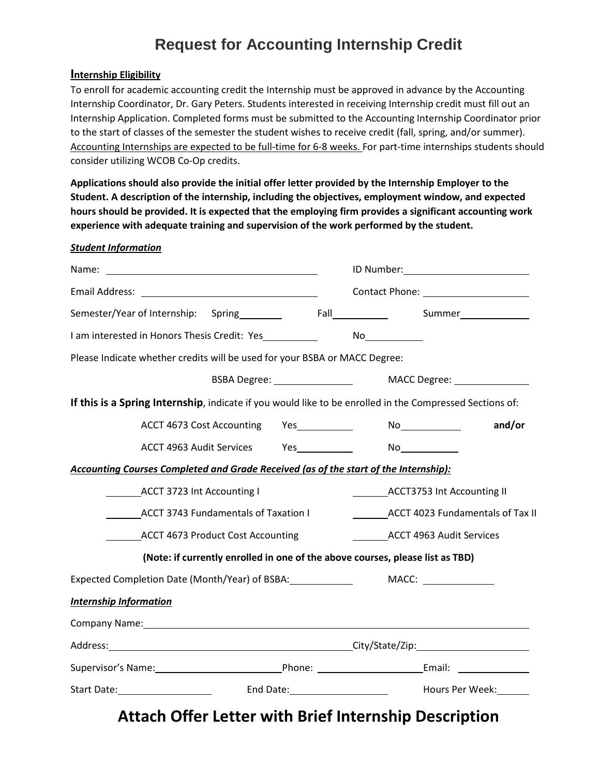# **Request for Accounting Internship Credit**

#### **Internship Eligibility**

To enroll for academic accounting credit the Internship must be approved in advance by the Accounting Internship Coordinator, Dr. Gary Peters. Students interested in receiving Internship credit must fill out an Internship Application. Completed forms must be submitted to the Accounting Internship Coordinator prior to the start of classes of the semester the student wishes to receive credit (fall, spring, and/or summer). Accounting Internships are expected to be full-time for 6-8 weeks. For part-time internships students should consider utilizing WCOB Co-Op credits.

**Applications should also provide the initial offer letter provided by the Internship Employer to the Student. A description of the internship, including the objectives, employment window, and expected hours should be provided. It is expected that the employing firm provides a significant accounting work experience with adequate training and supervision of the work performed by the student.**

#### *Student Information*

| Semester/Year of Internship: Spring Fall Fall Summer                                                            |                                                                               |
|-----------------------------------------------------------------------------------------------------------------|-------------------------------------------------------------------------------|
|                                                                                                                 |                                                                               |
| Please Indicate whether credits will be used for your BSBA or MACC Degree:                                      |                                                                               |
|                                                                                                                 |                                                                               |
| If this is a Spring Internship, indicate if you would like to be enrolled in the Compressed Sections of:        |                                                                               |
| ACCT 4673 Cost Accounting Yes                                                                                   | and/or                                                                        |
| ACCT 4963 Audit Services Yes______________ No____________                                                       |                                                                               |
| Accounting Courses Completed and Grade Received (as of the start of the Internship):                            |                                                                               |
| ACCT 3723 Int Accounting I                                                                                      | ACCT3753 Int Accounting II                                                    |
| <b>ACCT 3743 Fundamentals of Taxation I</b>                                                                     | ACCT 4023 Fundamentals of Tax II                                              |
| <b>ACCT 4673 Product Cost Accounting</b>                                                                        | ___________ACCT 4963 Audit Services                                           |
|                                                                                                                 | (Note: if currently enrolled in one of the above courses, please list as TBD) |
| Expected Completion Date (Month/Year) of BSBA: _______________                                                  | MACC:                                                                         |
| <b>Internship Information</b>                                                                                   |                                                                               |
| Company Name: 1997 Manual Company Name: 1997 Manual Company Name: 1997 Manual Company Name: 1997 Manual Company |                                                                               |
|                                                                                                                 |                                                                               |
| Supervisor's Name: 1990 Manual Communication Phone: 2008 Manual Communication Communication Communication Comm  |                                                                               |
| Start Date: 1992 [19] Louis Court Cate: 1994 [19] Mours Per Week: 1994                                          |                                                                               |

# **Attach Offer Letter with Brief Internship Description**